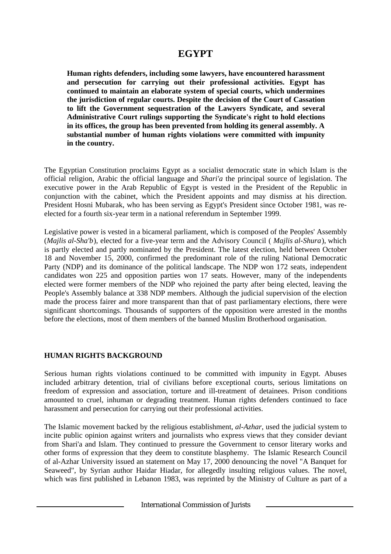# **EGYPT**

**Human rights defenders, including some lawyers, have encountered harassment and persecution for carrying out their professional activities. Egypt has continued to maintain an elaborate system of special courts, which undermines the jurisdiction of regular courts. Despite the decision of the Court of Cassation to lift the Government sequestration of the Lawyers Syndicate, and several Administrative Court rulings supporting the Syndicate's right to hold elections in its offices, the group has been prevented from holding its general assembly. A substantial number of human rights violations were committed with impunity in the country.**

The Egyptian Constitution proclaims Egypt as a socialist democratic state in which Islam is the official religion, Arabic the official language and *Shari'a* the principal source of legislation. The executive power in the Arab Republic of Egypt is vested in the President of the Republic in conjunction with the cabinet, which the President appoints and may dismiss at his direction. President Hosni Mubarak, who has been serving as Egypt's President since October 1981, was reelected for a fourth six-year term in a national referendum in September 1999.

Legislative power is vested in a bicameral parliament, which is composed of the Peoples' Assembly (*Majlis al-Sha'b*), elected for a five-year term and the Advisory Council ( *Majlis al-Shura*), which is partly elected and partly nominated by the President. The latest election, held between October 18 and November 15, 2000, confirmed the predominant role of the ruling National Democratic Party (NDP) and its dominance of the political landscape. The NDP won 172 seats, independent candidates won 225 and opposition parties won 17 seats. However, many of the independents elected were former members of the NDP who rejoined the party after being elected, leaving the People's Assembly balance at 338 NDP members. Although the judicial supervision of the election made the process fairer and more transparent than that of past parliamentary elections, there were significant shortcomings. Thousands of supporters of the opposition were arrested in the months before the elections, most of them members of the banned Muslim Brotherhood organisation.

# **HUMAN RIGHTS BACKGROUND**

Serious human rights violations continued to be committed with impunity in Egypt. Abuses included arbitrary detention, trial of civilians before exceptional courts, serious limitations on freedom of expression and association, torture and ill-treatment of detainees. Prison conditions amounted to cruel, inhuman or degrading treatment. Human rights defenders continued to face harassment and persecution for carrying out their professional activities.

The Islamic movement backed by the religious establishment, *al-Azhar*, used the judicial system to incite public opinion against writers and journalists who express views that they consider deviant from Shari'a and Islam. They continued to pressure the Government to censor literary works and other forms of expression that they deem to constitute blasphemy. The Islamic Research Council of al-Azhar University issued an statement on May 17, 2000 denouncing the novel "A Banquet for Seaweed", by Syrian author Haidar Hiadar, for allegedly insulting religious values. The novel, which was first published in Lebanon 1983, was reprinted by the Ministry of Culture as part of a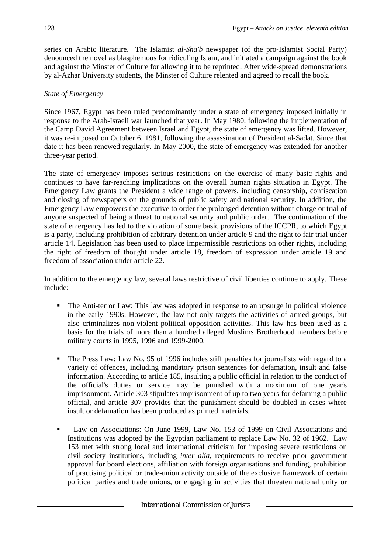series on Arabic literature. The Islamist *al-Sha'b* newspaper (of the pro-Islamist Social Party) denounced the novel as blasphemous for ridiculing Islam, and initiated a campaign against the book and against the Minster of Culture for allowing it to be reprinted. After wide-spread demonstrations by al-Azhar University students, the Minster of Culture relented and agreed to recall the book.

## *State of Emergency*

Since 1967, Egypt has been ruled predominantly under a state of emergency imposed initially in response to the Arab-Israeli war launched that year. In May 1980, following the implementation of the Camp David Agreement between Israel and Egypt, the state of emergency was lifted. However, it was re-imposed on October 6, 1981, following the assassination of President al-Sadat. Since that date it has been renewed regularly. In May 2000, the state of emergency was extended for another three-year period.

The state of emergency imposes serious restrictions on the exercise of many basic rights and continues to have far-reaching implications on the overall human rights situation in Egypt. The Emergency Law grants the President a wide range of powers, including censorship, confiscation and closing of newspapers on the grounds of public safety and national security. In addition, the Emergency Law empowers the executive to order the prolonged detention without charge or trial of anyone suspected of being a threat to national security and public order. The continuation of the state of emergency has led to the violation of some basic provisions of the ICCPR, to which Egypt is a party, including prohibition of arbitrary detention under article 9 and the right to fair trial under article 14. Legislation has been used to place impermissible restrictions on other rights, including the right of freedom of thought under article 18, freedom of expression under article 19 and freedom of association under article 22.

In addition to the emergency law, several laws restrictive of civil liberties continue to apply. These include:

- The Anti-terror Law: This law was adopted in response to an upsurge in political violence in the early 1990s. However, the law not only targets the activities of armed groups, but also criminalizes non-violent political opposition activities. This law has been used as a basis for the trials of more than a hundred alleged Muslims Brotherhood members before military courts in 1995, 1996 and 1999-2000.
- ß The Press Law: Law No. 95 of 1996 includes stiff penalties for journalists with regard to a variety of offences, including mandatory prison sentences for defamation, insult and false information. According to article 185, insulting a public official in relation to the conduct of the official's duties or service may be punished with a maximum of one year's imprisonment. Article 303 stipulates imprisonment of up to two years for defaming a public official, and article 307 provides that the punishment should be doubled in cases where insult or defamation has been produced as printed materials.
- ß Law on Associations: On June 1999, Law No. 153 of 1999 on Civil Associations and Institutions was adopted by the Egyptian parliament to replace Law No. 32 of 1962. Law 153 met with strong local and international criticism for imposing severe restrictions on civil society institutions, including *inter alia*, requirements to receive prior government approval for board elections, affiliation with foreign organisations and funding, prohibition of practising political or trade-union activity outside of the exclusive framework of certain political parties and trade unions, or engaging in activities that threaten national unity or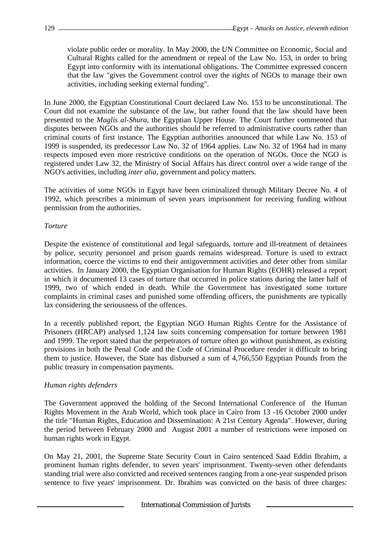violate public order or morality. In May 2000, the UN Committee on Economic, Social and Cultural Rights called for the amendment or repeal of the Law No. 153, in order to bring Egypt into conformity with its international obligations. The Committee expressed concern that the law "gives the Government control over the rights of NGOs to manage their own activities, including seeking external funding".

In June 2000, the Egyptian Constitutional Court declared Law No. 153 to be unconstitutional. The Court did not examine the substance of the law, but rather found that the law should have been presented to the *Maglis al-Shura*, the Egyptian Upper House. The Court further commented that disputes between NGOs and the authorities should be referred to administrative courts rather than criminal courts of first instance. The Egyptian authorities announced that while Law No. 153 of 1999 is suspended, its predecessor Law No. 32 of 1964 applies. Law No. 32 of 1964 had in many respects imposed even more restrictive conditions on the operation of NGOs. Once the NGO is registered under Law 32, the Ministry of Social Affairs has direct control over a wide range of the NGO's activities, including *inter alia*, government and policy matters.

The activities of some NGOs in Egypt have been criminalized through Military Decree No. 4 of 1992, which prescribes a minimum of seven years imprisonment for receiving funding without permission from the authorities.

## *Torture*

Despite the existence of constitutional and legal safeguards, torture and ill-treatment of detainees by police, security personnel and prison guards remains widespread. Torture is used to extract information, coerce the victims to end their antigovernment activities and deter other from similar activities. In January 2000, the Egyptian Organisation for Human Rights (EOHR) released a report in which it documented 13 cases of torture that occurred in police stations during the latter half of 1999, two of which ended in death. While the Government has investigated some torture complaints in criminal cases and punished some offending officers, the punishments are typically lax considering the seriousness of the offences.

In a recently published report, the Egyptian NGO Human Rights Centre for the Assistance of Prisoners (HRCAP) analysed 1,124 law suits concerning compensation for torture between 1981 and 1999. The report stated that the perpetrators of torture often go without punishment, as existing provisions in both the Penal Code and the Code of Criminal Procedure render it difficult to bring them to justice. However, the State has disbursed a sum of 4,766,550 Egyptian Pounds from the public treasury in compensation payments.

# *Human rights defenders*

The Government approved the holding of the Second International Conference of the Human Rights Movement in the Arab World, which took place in Cairo from 13 -16 October 2000 under the title "Human Rights, Education and Dissemination: A 21st Century Agenda". However, during the period between February 2000 and August 2001 a number of restrictions were imposed on human rights work in Egypt.

On May 21, 2001, the Supreme State Security Court in Cairo sentenced Saad Eddin Ibrahim, a prominent human rights defender, to seven years' imprisonment. Twenty-seven other defendants standing trial were also convicted and received sentences ranging from a one-year suspended prison sentence to five years' imprisonment. Dr. Ibrahim was convicted on the basis of three charges: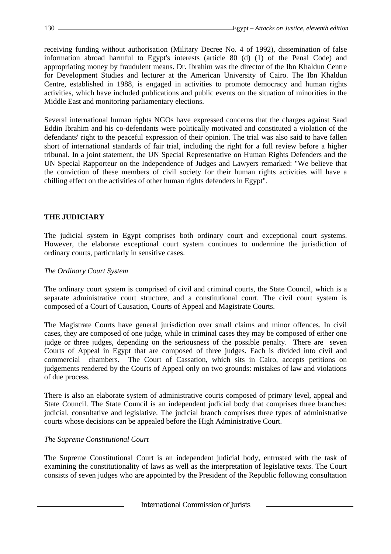receiving funding without authorisation (Military Decree No. 4 of 1992), dissemination of false information abroad harmful to Egypt's interests (article 80 (d) (1) of the Penal Code) and appropriating money by fraudulent means. Dr. Ibrahim was the director of the Ibn Khaldun Centre for Development Studies and lecturer at the American University of Cairo. The Ibn Khaldun Centre, established in 1988, is engaged in activities to promote democracy and human rights activities, which have included publications and public events on the situation of minorities in the Middle East and monitoring parliamentary elections.

Several international human rights NGOs have expressed concerns that the charges against Saad Eddin Ibrahim and his co-defendants were politically motivated and constituted a violation of the defendants' right to the peaceful expression of their opinion. The trial was also said to have fallen short of international standards of fair trial, including the right for a full review before a higher tribunal. In a joint statement, the UN Special Representative on Human Rights Defenders and the UN Special Rapporteur on the Independence of Judges and Lawyers remarked: "We believe that the conviction of these members of civil society for their human rights activities will have a chilling effect on the activities of other human rights defenders in Egypt".

# **THE JUDICIARY**

The judicial system in Egypt comprises both ordinary court and exceptional court systems. However, the elaborate exceptional court system continues to undermine the jurisdiction of ordinary courts, particularly in sensitive cases.

## *The Ordinary Court System*

The ordinary court system is comprised of civil and criminal courts, the State Council, which is a separate administrative court structure, and a constitutional court. The civil court system is composed of a Court of Causation, Courts of Appeal and Magistrate Courts.

The Magistrate Courts have general jurisdiction over small claims and minor offences. In civil cases, they are composed of one judge, while in criminal cases they may be composed of either one judge or three judges, depending on the seriousness of the possible penalty. There are seven Courts of Appeal in Egypt that are composed of three judges. Each is divided into civil and commercial chambers. The Court of Cassation, which sits in Cairo, accepts petitions on judgements rendered by the Courts of Appeal only on two grounds: mistakes of law and violations of due process.

There is also an elaborate system of administrative courts composed of primary level, appeal and State Council. The State Council is an independent judicial body that comprises three branches: judicial, consultative and legislative. The judicial branch comprises three types of administrative courts whose decisions can be appealed before the High Administrative Court.

# *The Supreme Constitutional Court*

The Supreme Constitutional Court is an independent judicial body, entrusted with the task of examining the constitutionality of laws as well as the interpretation of legislative texts. The Court consists of seven judges who are appointed by the President of the Republic following consultation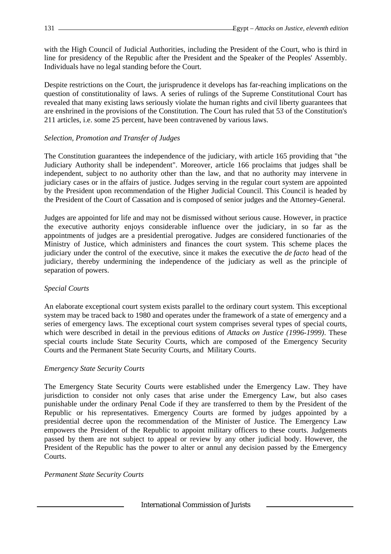with the High Council of Judicial Authorities, including the President of the Court, who is third in line for presidency of the Republic after the President and the Speaker of the Peoples' Assembly. Individuals have no legal standing before the Court.

Despite restrictions on the Court, the jurisprudence it develops has far-reaching implications on the question of constitutionality of laws. A series of rulings of the Supreme Constitutional Court has revealed that many existing laws seriously violate the human rights and civil liberty guarantees that are enshrined in the provisions of the Constitution. The Court has ruled that 53 of the Constitution's 211 articles, i.e. some 25 percent, have been contravened by various laws.

## *Selection, Promotion and Transfer of Judges*

The Constitution guarantees the independence of the judiciary, with article 165 providing that "the Judiciary Authority shall be independent". Moreover, article 166 proclaims that judges shall be independent, subject to no authority other than the law, and that no authority may intervene in judiciary cases or in the affairs of justice. Judges serving in the regular court system are appointed by the President upon recommendation of the Higher Judicial Council. This Council is headed by the President of the Court of Cassation and is composed of senior judges and the Attorney-General.

Judges are appointed for life and may not be dismissed without serious cause. However, in practice the executive authority enjoys considerable influence over the judiciary, in so far as the appointments of judges are a presidential prerogative. Judges are considered functionaries of the Ministry of Justice, which administers and finances the court system. This scheme places the judiciary under the control of the executive, since it makes the executive the *de facto* head of the judiciary, thereby undermining the independence of the judiciary as well as the principle of separation of powers.

## *Special Courts*

An elaborate exceptional court system exists parallel to the ordinary court system. This exceptional system may be traced back to 1980 and operates under the framework of a state of emergency and a series of emergency laws. The exceptional court system comprises several types of special courts, which were described in detail in the previous editions of *Attacks on Justice (1996-1999)*. These special courts include State Security Courts, which are composed of the Emergency Security Courts and the Permanent State Security Courts, and Military Courts.

## *Emergency State Security Courts*

The Emergency State Security Courts were established under the Emergency Law. They have jurisdiction to consider not only cases that arise under the Emergency Law, but also cases punishable under the ordinary Penal Code if they are transferred to them by the President of the Republic or his representatives. Emergency Courts are formed by judges appointed by a presidential decree upon the recommendation of the Minister of Justice. The Emergency Law empowers the President of the Republic to appoint military officers to these courts. Judgements passed by them are not subject to appeal or review by any other judicial body. However, the President of the Republic has the power to alter or annul any decision passed by the Emergency Courts.

## *Permanent State Security Courts*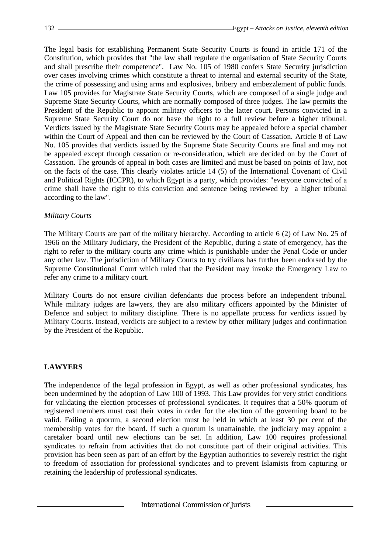The legal basis for establishing Permanent State Security Courts is found in article 171 of the Constitution, which provides that "the law shall regulate the organisation of State Security Courts and shall prescribe their competence". Law No. 105 of 1980 confers State Security jurisdiction over cases involving crimes which constitute a threat to internal and external security of the State, the crime of possessing and using arms and explosives, bribery and embezzlement of public funds. Law 105 provides for Magistrate State Security Courts, which are composed of a single judge and Supreme State Security Courts, which are normally composed of three judges. The law permits the President of the Republic to appoint military officers to the latter court. Persons convicted in a Supreme State Security Court do not have the right to a full review before a higher tribunal. Verdicts issued by the Magistrate State Security Courts may be appealed before a special chamber within the Court of Appeal and then can be reviewed by the Court of Cassation. Article 8 of Law No. 105 provides that verdicts issued by the Supreme State Security Courts are final and may not be appealed except through cassation or re-consideration, which are decided on by the Court of Cassation. The grounds of appeal in both cases are limited and must be based on points of law, not on the facts of the case. This clearly violates article 14 (5) of the International Covenant of Civil and Political Rights (ICCPR), to which Egypt is a party, which provides: "everyone convicted of a crime shall have the right to this conviction and sentence being reviewed by a higher tribunal according to the law".

## *Military Courts*

The Military Courts are part of the military hierarchy. According to article 6 (2) of Law No. 25 of 1966 on the Military Judiciary, the President of the Republic, during a state of emergency, has the right to refer to the military courts any crime which is punishable under the Penal Code or under any other law. The jurisdiction of Military Courts to try civilians has further been endorsed by the Supreme Constitutional Court which ruled that the President may invoke the Emergency Law to refer any crime to a military court.

Military Courts do not ensure civilian defendants due process before an independent tribunal. While military judges are lawyers, they are also military officers appointed by the Minister of Defence and subject to military discipline. There is no appellate process for verdicts issued by Military Courts. Instead, verdicts are subject to a review by other military judges and confirmation by the President of the Republic.

# **LAWYERS**

The independence of the legal profession in Egypt, as well as other professional syndicates, has been undermined by the adoption of Law 100 of 1993. This Law provides for very strict conditions for validating the election processes of professional syndicates. It requires that a 50% quorum of registered members must cast their votes in order for the election of the governing board to be valid. Failing a quorum, a second election must be held in which at least 30 per cent of the membership votes for the board. If such a quorum is unattainable, the judiciary may appoint a caretaker board until new elections can be set. In addition, Law 100 requires professional syndicates to refrain from activities that do not constitute part of their original activities. This provision has been seen as part of an effort by the Egyptian authorities to severely restrict the right to freedom of association for professional syndicates and to prevent Islamists from capturing or retaining the leadership of professional syndicates.